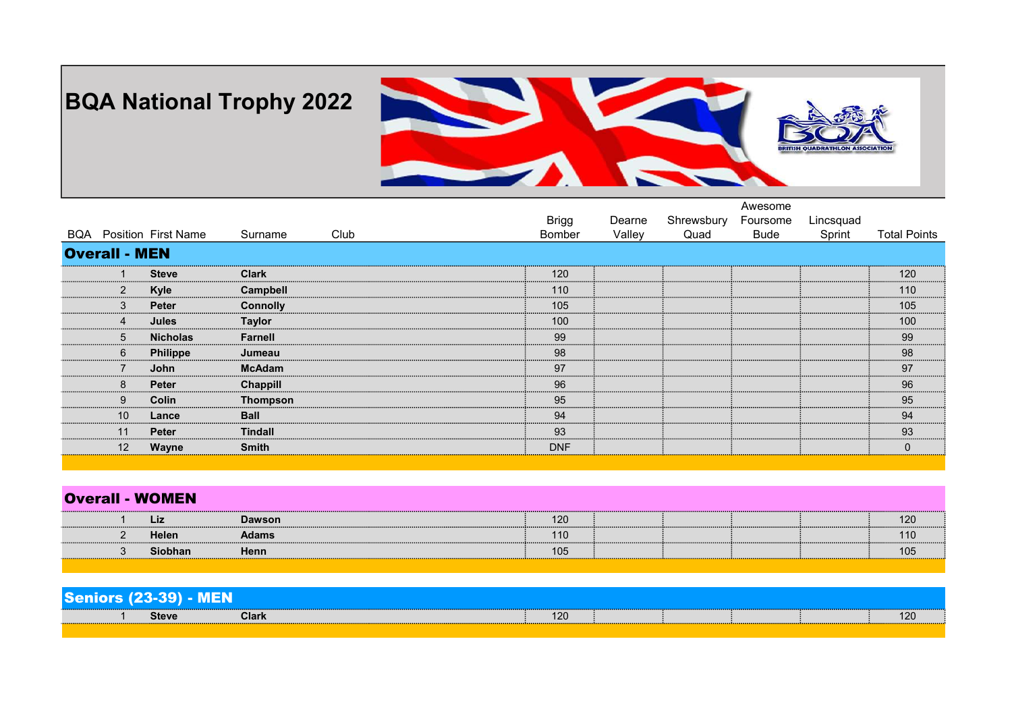BQA National Trophy 2022



|                      |                                |                 |      |              |        |            | Awesome  |           |                     |
|----------------------|--------------------------------|-----------------|------|--------------|--------|------------|----------|-----------|---------------------|
|                      |                                |                 |      | <b>Brigg</b> | Dearne | Shrewsbury | Foursome | Lincsquad |                     |
|                      | <b>BQA</b> Position First Name | Surname         | Club | Bomber       | Valley | Quad       | Bude     | Sprint    | <b>Total Points</b> |
| <b>Overall - MEN</b> |                                |                 |      |              |        |            |          |           |                     |
|                      | <b>Steve</b>                   | <b>Clark</b>    |      | 120          |        |            |          |           | 120                 |
|                      | Kyle                           | Campbell        |      | 110          |        |            |          |           | 110                 |
|                      | <b>Peter</b>                   | <b>Connolly</b> |      | 105          |        |            |          |           | 105                 |
|                      | Jules                          | <b>Taylor</b>   |      | 100          |        |            |          |           | 100                 |
|                      | <b>Nicholas</b>                | Farnell         |      | 99           |        |            |          |           | 99                  |
| 6                    | <b>Philippe</b>                | Jumeau          |      | 98           |        |            |          |           | 98                  |
|                      | John                           | <b>McAdam</b>   |      | 97           |        |            |          |           | 97                  |
|                      | <b>Peter</b>                   | <b>Chappill</b> |      | 96           |        |            |          |           | 96                  |
| 9                    | Colin                          | Thompson        |      | 95           |        |            |          |           | 95                  |
| 10                   | Lance                          | <b>Ball</b>     |      | 94           |        |            |          |           | 94                  |
|                      | <b>Peter</b>                   | Tindall         |      | 93           |        |            |          |           | 93                  |
| 12                   | Wayne                          | <b>Smith</b>    |      | <b>DNF</b>   |        |            |          |           |                     |

| <b>Overall - WOMEN</b> |  |                |              |     |  |  |  |     |  |  |
|------------------------|--|----------------|--------------|-----|--|--|--|-----|--|--|
|                        |  |                | Dawson       | 120 |  |  |  | 120 |  |  |
|                        |  | <b>Helen</b>   | <b>Adams</b> | 110 |  |  |  | 110 |  |  |
|                        |  | <b>Siobhan</b> | Henn         | 105 |  |  |  | 105 |  |  |

| <b>Seniors (23-39) - MEN</b> |       |              |  |     |  |  |     |
|------------------------------|-------|--------------|--|-----|--|--|-----|
|                              | Steve | <b>Clark</b> |  | 120 |  |  | 120 |
|                              |       |              |  |     |  |  |     |